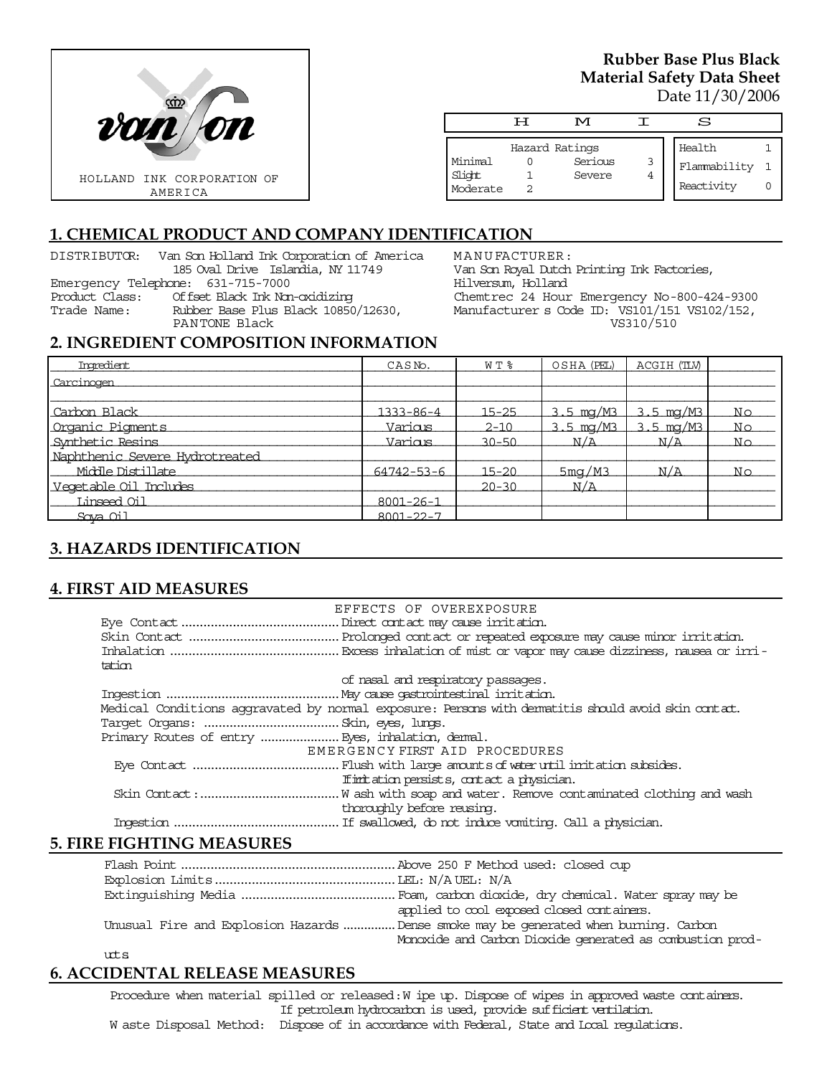

## **Rubber Base Plus Black Material Safety Data Sheet**  Date 11/30/2006

|                    | டா | M                 |        | S            |  |
|--------------------|----|-------------------|--------|--------------|--|
|                    |    | Hazard Ratings    |        | Health       |  |
| Minimal            |    | Serious<br>Severe | 3<br>4 | Flammability |  |
| Slight<br>Moderate |    |                   |        | Reactivity   |  |

# **1. CHEMICAL PRODUCT AND COMPANY IDENTIFICATION**

DISTRIBUTOR: Van Son Holland Ink Corporation of America 185 Oval Drive Islandia, NY 11749 Emergency Telephone: 631-715-7000 Product Class: Offset Black Ink Non-oxidizing Rubber Base Plus Black 10850/12630, PANTONE Black

MANUFACTURER: Van Son Royal Dutch Printing Ink Factories, Hilversum, Holland Chemtrec 24 Hour Emergency No-800-424-9300 Manufacturer s Code ID: VS101/151 VS102/152, VS310/510

#### **2. INGREDIENT COMPOSITION INFORMATION**

| Imredient                      | CASN <sub>o</sub> . | WT %      | OSHA (PEL)                      | ACGIH (TLV)            |    |
|--------------------------------|---------------------|-----------|---------------------------------|------------------------|----|
| Carcinogen                     |                     |           |                                 |                        |    |
|                                |                     |           |                                 |                        |    |
| Carbon Black                   | 1333-86-4           | $15 - 25$ | $3.5 \,\mathrm{mg}/\mathrm{M}3$ | $3.5 \,\mathrm{mg/M3}$ | No |
| Organic Pigments               | Various             | $2 - 10$  | $3.5 \,\mathrm{mg}/\mathrm{M}3$ | $3.5 \,\mathrm{mg/M3}$ | No |
| Synthetic Resins               | Various             | $30 - 50$ | N/A                             | N/A                    | Nο |
| Naphthenic Severe Hydrotreated |                     |           |                                 |                        |    |
| Middle Distillate              | 64742-53-6          | $15 - 20$ | 5mg/M3                          | N/A                    | No |
| Vegetable Oil Includes         |                     | $20 - 30$ | N/A                             |                        |    |
| Linseed Oil                    | $8001 - 26 - 1$     |           |                                 |                        |    |
| Sova Oil                       | $8001 - 22 - 7$     |           |                                 |                        |    |

# **3. HAZARDS IDENTIFICATION**

### **4. FIRST AID MEASURES**

|                                                    | EFFECTS OF OVEREXPOSURE                                                                             |
|----------------------------------------------------|-----------------------------------------------------------------------------------------------------|
|                                                    |                                                                                                     |
|                                                    |                                                                                                     |
|                                                    |                                                                                                     |
| tation                                             |                                                                                                     |
|                                                    | of nasal and respiratory passages.                                                                  |
|                                                    |                                                                                                     |
|                                                    | Medical Conditions aggravated by normal exposure: Persons with dematitis should avoid skin contact. |
|                                                    |                                                                                                     |
| Primary Routes of entry  Eyes, inhalation, denmal. |                                                                                                     |
|                                                    | EMERGENCY FIRST AID PROCEDURES                                                                      |
|                                                    |                                                                                                     |
|                                                    | If initiation persists, contact a physician.                                                        |
|                                                    |                                                                                                     |
|                                                    | thoroughly before reusing.                                                                          |
|                                                    |                                                                                                     |

### **5. FIRE FIGHTING MEASURES**

|        | applied to cool exposed closed containers.                                            |
|--------|---------------------------------------------------------------------------------------|
|        | Unusual Fire and Explosion Hazards  Dense smoke may be generated when burning. Carbon |
|        | Monoxide and Carbon Dioxide generated as combustion prod-                             |
| $10+5$ |                                                                                       |

# **6. ACCIDENTAL RELEASE MEASURES**

Procedure when material spilled or released: W ipe up. Dispose of wipes in approved waste containers. If petroleum hydrocarbon is used, provide sufficient ventilation. W aste Disposal Method: Dispose of in accordance with Federal, State and Local regulations.